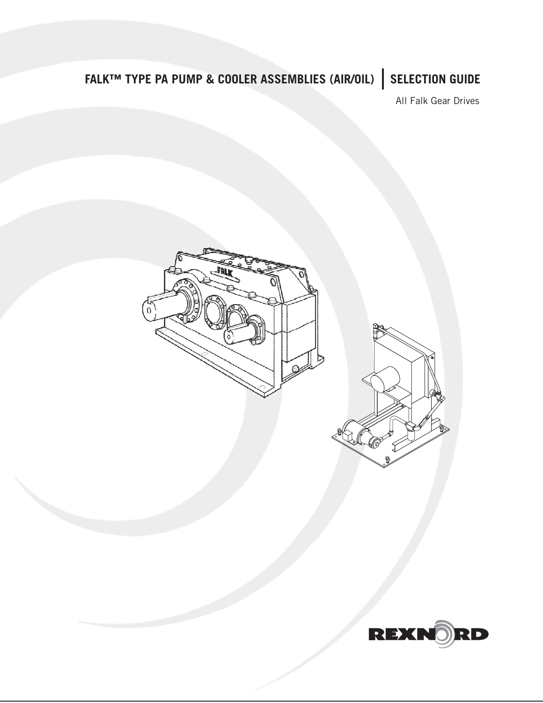## **FALK™ TYPE PA PUMP & COOLER ASSEMBLIES (AIR/OIL) SELECTION GUIDE**

All Falk Gear Drives



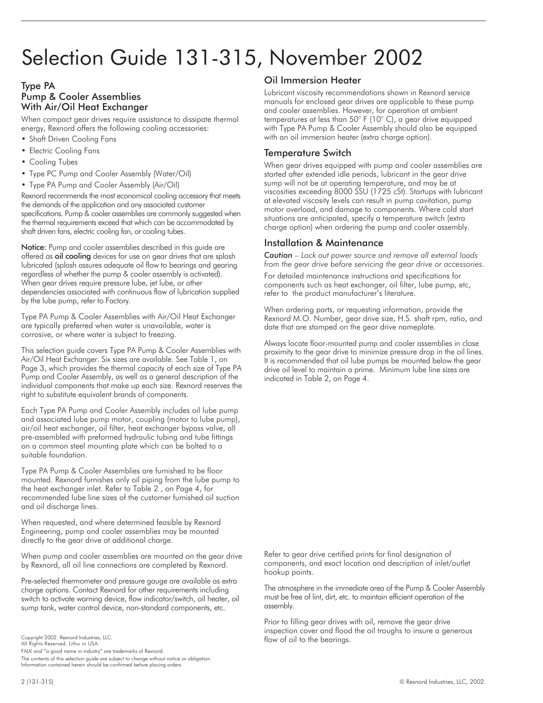# Selection Guide 131-315, November 2002

#### Type PA Pump & Cooler Assemblies With Air/Oil Heat Exchanger

When compact gear drives require assistance to dissipate thermal energy, Rexnord offers the following cooling accessories:

- Shaft Driven Cooling Fans
- Electric Cooling Fans
- Cooling Tubes
- Type PC Pump and Cooler Assembly (Water/Oil)
- Type PA Pump and Cooler Assembly (Air/Oil)

Rexnord recommends the most economical cooling accessory that meets the demands of the application and any associated customer specifications. Pump & cooler assemblies are commonly suggested when the thermal requirements exceed that which can be accommodated by shaft driven fans, electric cooling fan, or cooling tubes.

Notice: Pump and cooler assemblies described in this guide are offered as oil cooling devices for use on gear drives that are splash lubricated (splash assures adequate oil flow to bearings and gearing regardless of whether the pump & cooler assembly is activated). When gear drives require pressure lube, jet lube, or other dependencies associated with continuous flow of lubrication supplied by the lube pump, refer to Factory.

Type PA Pump & Cooler Assemblies with Air/Oil Heat Exchanger are typically preferred when water is unavailable, water is corrosive, or where water is subject to freezing.

This selection guide covers Type PA Pump & Cooler Assemblies with Air/Oil Heat Exchanger. Six sizes are available. See Table 1, on Page 3, which provides the thermal capacity of each size of Type PA Pump and Cooler Assembly, as well as a general description of the individual components that make up each size. Rexnord reserves the right to substitute equivalent brands of components.

Each Type PA Pump and Cooler Assembly includes oil lube pump and associated lube pump motor, coupling (motor to lube pump), air/oil heat exchanger, oil filter, heat exchanger bypass valve, all pre-assembled with preformed hydraulic tubing and tube fittings on a common steel mounting plate which can be bolted to a suitable foundation.

Type PA Pump & Cooler Assemblies are furnished to be floor mounted. Rexnord furnishes only oil piping from the lube pump to the heat exchanger inlet. Refer to Table 2 , on Page 4, for recommended lube line sizes of the customer furnished oil suction and oil discharge lines.

When requested, and where determined feasible by Rexnord Engineering, pump and cooler assemblies may be mounted directly to the gear drive at additional charge.

When pump and cooler assemblies are mounted on the gear drive by Rexnord, all oil line connections are completed by Rexnord.

Pre-selected thermometer and pressure gauge are available as extra charge options. Contact Rexnord for other requirements including switch to activate warning device, flow indicator/switch, oil heater, oil sump tank, water control device, non-standard components, etc.

Copyright 2002. Rexnord Industries, LLC. All Rights Reserved. Litho in USA.

FALK and "a good name in industry" are trademarks of Rexnord. The contents of this selection guide are subject to change without notice or obligation. Information contained herein should be confirmed before placing orders.

### Oil Immersion Heater

Lubricant viscosity recommendations shown in Rexnord service manuals for enclosed gear drives are applicable to these pump and cooler assemblies. However, for operation at ambient temperatures at less than 50° F (10° C), a gear drive equipped with Type PA Pump & Cooler Assembly should also be equipped with an oil immersion heater (extra charge option).

#### Temperature Switch

When gear drives equipped with pump and cooler assemblies are started after extended idle periods, lubricant in the gear drive sump will not be at operating temperature, and may be at viscosities exceeding 8000 SSU (1725 cSt). Startups with lubricant at elevated viscosity levels can result in pump cavitation, pump motor overload, and damage to components. Where cold start situations are anticipated, specify a temperature switch (extra charge option) when ordering the pump and cooler assembly.

#### Installation & Maintenance

*Caution – Lock out power source and remove all external loads from the gear drive before servicing the gear drive or accessories.*

For detailed maintenance instructions and specifications for components such as heat exchanger, oil filter, lube pump, etc, refer to the product manufacturer's literature.

When ordering parts, or requesting information, provide the Rexnord M.O. Number, gear drive size, H.S. shaft rpm, ratio, and date that are stamped on the gear drive nameplate.

Always locate floor-mounted pump and cooler assemblies in close proximity to the gear drive to minimize pressure drop in the oil lines. It is recommended that oil lube pumps be mounted below the gear drive oil level to maintain a prime. Minimum lube line sizes are indicated in Table 2, on Page 4.

Refer to gear drive certified prints for final designation of components, and exact location and description of inlet/outlet hookup points.

The atmosphere in the immediate area of the Pump & Cooler Assembly must be free of lint, dirt, etc. to maintain efficient operation of the assembly.

Prior to filling gear drives with oil, remove the gear drive inspection cover and flood the oil troughs to insure a generous flow of oil to the bearings.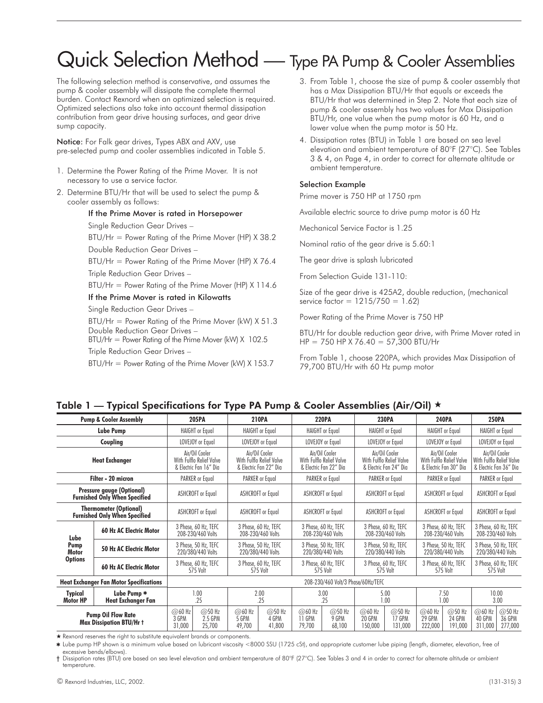# Quick Selection Method — Type PA Pump & Cooler Assemblies

The following selection method is conservative, and assumes the pump & cooler assembly will dissipate the complete thermal burden. Contact Rexnord when an optimized selection is required. Optimized selections also take into account thermal dissipation contribution from gear drive housing surfaces, and gear drive sump capacity.

Notice: For Falk gear drives, Types ABX and AXV, use pre-selected pump and cooler assemblies indicated in Table 5.

- 1. Determine the Power Rating of the Prime Mover. It is not necessary to use a service factor.
- 2. Determine BTU/Hr that will be used to select the pump & cooler assembly as follows:

#### If the Prime Mover is rated in Horsepower

Single Reduction Gear Drives –

BTU/Hr = Power Rating of the Prime Mover (HP) X 38.2 Double Reduction Gear Drives –

BTU/Hr = Power Rating of the Prime Mover (HP) X 76.4 Triple Reduction Gear Drives –

BTU/Hr = Power Rating of the Prime Mover (HP) X 114.6

#### If the Prime Mover is rated in Kilowatts

Single Reduction Gear Drives –

BTU/Hr = Power Rating of the Prime Mover (kW) X 51.3 Double Reduction Gear Drives – BTU/Hr = Power Rating of the Prime Mover (kW) X 102.5

Triple Reduction Gear Drives –

BTU/Hr = Power Rating of the Prime Mover (kW) X 153.7

- 3. From Table 1, choose the size of pump & cooler assembly that has a Max Dissipation BTU/Hr that equals or exceeds the BTU/Hr that was determined in Step 2. Note that each size of pump & cooler assembly has two values for Max Dissipation BTU/Hr, one value when the pump motor is 60 Hz, and a lower value when the pump motor is 50 Hz.
- 4. Dissipation rates (BTU) in Table 1 are based on sea level elevation and ambient temperature of 80°F (27°C). See Tables 3 & 4, on Page 4, in order to correct for alternate altitude or ambient temperature.

#### Selection Example

Prime mover is 750 HP at 1750 rpm

Available electric source to drive pump motor is 60 Hz

Mechanical Service Factor is 1.25

Nominal ratio of the gear drive is 5.60:1

The gear drive is splash lubricated

From Selection Guide 131-110:

Size of the gear drive is 425A2, double reduction, (mechanical service factor =  $1215/750 = 1.62$ 

Power Rating of the Prime Mover is 750 HP

BTU/Hr for double reduction gear drive, with Prime Mover rated in  $HP = 750$  HP X 76.40 = 57,300 BTU/Hr

From Table 1, choose 220PA, which provides Max Dissipation of 79,700 BTU/Hr with 60 Hz pump motor

#### Table 1 — Typical Specifications for Type PA Pump & Cooler Assemblies (Air/Oil)  $\star$

| <b>Pump &amp; Cooler Assembly</b>                                     |                                          | 205PA                                                                |                               | 210PA                                                                |                                  | <b>220PA</b>                                                         |                             | <b>230PA</b>                                                         |                                           | 240PA                                                                |                                           | <b>250PA</b>                                                         |                               |
|-----------------------------------------------------------------------|------------------------------------------|----------------------------------------------------------------------|-------------------------------|----------------------------------------------------------------------|----------------------------------|----------------------------------------------------------------------|-----------------------------|----------------------------------------------------------------------|-------------------------------------------|----------------------------------------------------------------------|-------------------------------------------|----------------------------------------------------------------------|-------------------------------|
| Lube Pump                                                             |                                          | <b>HAIGHT</b> or Equal                                               |                               | HAIGHT or Equal                                                      |                                  | <b>HAIGHT</b> or Equal                                               |                             | HAIGHT or Equal                                                      |                                           | HAIGHT or Equal                                                      |                                           | <b>HAIGHT</b> or Equal                                               |                               |
|                                                                       | Coupling                                 | LOVEJOY or Equal                                                     |                               | LOVEJOY or Equal                                                     |                                  | LOVEJOY or Equal                                                     |                             | LOVEJOY or Equal                                                     |                                           | LOVEJOY or Equal                                                     |                                           | LOVEJOY or Equal                                                     |                               |
| <b>Heat Exchanger</b>                                                 |                                          | Air/Oil Cooler<br>With Fulflo Relief Valve<br>& Electric Fan 16" Dia |                               | Air/Oil Cooler<br>With Fulflo Relief Valve<br>& Electric Fan 22" Dia |                                  | Air/Oil Cooler<br>With Fulflo Relief Valve<br>& Electric Fan 22" Dia |                             | Air/Oil Cooler<br>With Fulflo Relief Valve<br>& Electric Fan 24" Dia |                                           | Air/Oil Cooler<br>With Fulflo Relief Valve<br>& Electric Fan 30" Dia |                                           | Air/Oil Cooler<br>With Fulflo Relief Valve<br>& Electric Fan 36" Dia |                               |
| Filter - 20 micron                                                    |                                          | PARKER or Equal                                                      |                               | PARKER or Equal                                                      |                                  | PARKER or Equal                                                      |                             | PARKER or Equal                                                      |                                           | PARKER or Equal                                                      |                                           | PARKER or Equal                                                      |                               |
| Pressure gauge (Optional)<br><b>Furnished Only When Specified</b>     |                                          | <b>ASHCROFT</b> or Equal                                             |                               | <b>ASHCROFT</b> or Equal                                             |                                  | <b>ASHCROFT</b> or Equal                                             |                             | <b>ASHCROFT</b> or Equal                                             |                                           | <b>ASHCROFT</b> or Equal                                             |                                           | <b>ASHCROFT</b> or Equal                                             |                               |
| <b>Thermometer (Optional)</b><br><b>Furnished Only When Specified</b> |                                          | <b>ASHCROFT</b> or Equal                                             |                               | <b>ASHCROFT</b> or Equal<br><b>ASHCROFT</b> or Equal                 |                                  |                                                                      | <b>ASHCROFT</b> or Equal    |                                                                      | <b>ASHCROFT</b> or Equal                  |                                                                      | <b>ASHCROFT</b> or Equal                  |                                                                      |                               |
| Lube<br>Pump<br>Motor<br><b>Options</b>                               | 60 Hz AC Electric Motor                  | 3 Phase, 60 Hz, TEFC<br>208-230/460 Volts                            |                               | 3 Phase, 60 Hz, TEFC<br>208-230/460 Volts                            |                                  | 3 Phase, 60 Hz, TEFC<br>208-230/460 Volts                            |                             |                                                                      | 3 Phase, 60 Hz, TEFC<br>208-230/460 Volts |                                                                      | 3 Phase, 60 Hz, TEFC<br>208-230/460 Volts | 208-230/460 Volts                                                    | 3 Phase, 60 Hz, TEFC          |
|                                                                       | 50 Hz AC Electric Motor                  | 3 Phase, 50 Hz, TEFC<br>220/380/440 Volts                            |                               | 3 Phase, 50 Hz, TEFC<br>220/380/440 Volts                            |                                  | 3 Phase, 50 Hz, TEFC<br>220/380/440 Volts                            |                             |                                                                      | 3 Phase, 50 Hz, TEFC<br>220/380/440 Volts |                                                                      | 3 Phase, 50 Hz, TEFC<br>220/380/440 Volts | 3 Phase, 50 Hz, TEFC<br>220/380/440 Volts                            |                               |
|                                                                       | 60 Hz AC Electric Motor                  | 3 Phase, 60 Hz, TEFC<br>575 Volt                                     |                               |                                                                      | 3 Phase, 60 Hz, TEFC<br>575 Volt | 3 Phase, 60 Hz, TEFC<br>575 Volt                                     |                             | 3 Phase, 60 Hz, TEFC<br>575 Volt                                     |                                           | 3 Phase, 60 Hz, TEFC<br>575 Volt                                     |                                           | 3 Phase, 60 Hz, TEFC<br>575 Volt                                     |                               |
| <b>Heat Exchanger Fan Motor Specifications</b>                        |                                          | 208-230/460 Volt/3 Phase/60Hz/TEFC                                   |                               |                                                                      |                                  |                                                                      |                             |                                                                      |                                           |                                                                      |                                           |                                                                      |                               |
| <b>Typical</b><br><b>Motor HP</b>                                     | Lube Pump *<br><b>Heat Exchanger Fan</b> | 1.00<br>.25                                                          |                               | 2.00<br>.25                                                          |                                  | 3.00<br>.25                                                          |                             | 5.00<br>1.00                                                         |                                           | 7.50<br>1.00                                                         |                                           | 10.00<br>3.00                                                        |                               |
| <b>Pump Oil Flow Rate</b><br><b>Max Dissipation BTU/Hr t</b>          |                                          | $@60$ Hz<br>3 GPM<br>31,000                                          | $@50$ Hz<br>2.5 GPM<br>25,700 | $@60$ Hz<br>5 GPM<br>49,700                                          | $@50$ Hz<br>4 GPM<br>41,800      | $@60$ Hz<br>11 GPM<br>79,700                                         | $@50$ Hz<br>9 GPM<br>68,100 | $@60$ Hz<br>20 GPM<br>150,000                                        | $@50$ Hz<br><b>17 GPM</b><br>131,000      | $@60$ Hz<br>29 GPM<br>222,000                                        | $@50$ Hz<br>24 GPM<br>191,000             | $@60$ Hz<br>40 GPM<br>311,000                                        | $@50$ Hz<br>36 GPM<br>277,000 |

\* Rexnord reserves the right to substitute equivalent brands or components.

\* Lube pump HP shown is a minimum value based on lubricant viscosity <8000 SSU (1725 cSt), and appropriate customer lube piping (length, diameter, elevation, free of excessive bends/elbows).

† Dissipation rates (BTU) are based on sea level elevation and ambient temperature of 80°F (27°C). See Tables 3 and 4 in order to correct for alternate altitude or ambient temperature.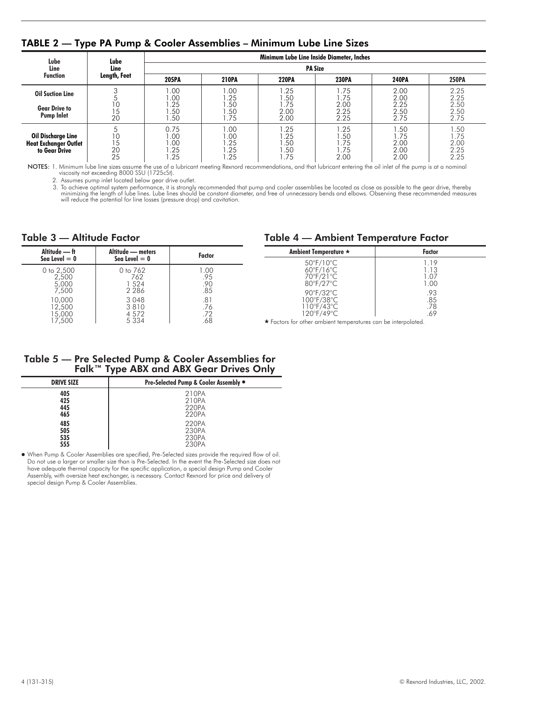#### **TABLE 2** — Type PA Pump & Cooler Assemblies – Minimum Lube Line Sizes

| Lube                                                         | Lube<br>Line<br>Length, Feet    | Minimum Lube Line Inside Diameter, Inches<br><b>PA Size</b> |                                 |                                 |                                  |                                    |                                    |  |  |  |
|--------------------------------------------------------------|---------------------------------|-------------------------------------------------------------|---------------------------------|---------------------------------|----------------------------------|------------------------------------|------------------------------------|--|--|--|
| Line                                                         |                                 |                                                             |                                 |                                 |                                  |                                    |                                    |  |  |  |
| <b>Function</b>                                              |                                 | <b>205PA</b>                                                | <b>210PA</b>                    | <b>220PA</b>                    | <b>230PA</b>                     | <b>240PA</b>                       | <b>250PA</b>                       |  |  |  |
| <b>Oil Suction Line</b>                                      |                                 | .00.<br>.00                                                 | .00<br>.25                      | .25<br>.50                      | .75<br>.75                       | 2.00<br>2.00                       | 2.25<br>2.25                       |  |  |  |
| <b>Gear Drive to</b><br><b>Pump Inlet</b>                    | ס י<br>5<br>20                  | .25<br>.50<br>.50                                           | .50<br>.50<br>.75               | .75<br>2.00<br>2.00             | 2.00<br>2.25<br>2.25             | 2.25<br>2.50<br>2.75               | 2.50<br>2.50<br>2.75               |  |  |  |
| Oil Discharge Line<br>Heat Exchanger Outlet<br>to Gear Drive | $\overline{0}$<br>5<br>20<br>25 | 0.75<br>.00<br>.00<br>.25<br>.25                            | .00<br>.00<br>.25<br>.25<br>.25 | .25<br>.25<br>.50<br>.50<br>.75 | .25<br>.50<br>.75<br>.75<br>2.00 | .50<br>.75<br>2.00<br>2.00<br>2.00 | .50<br>.75<br>2.00<br>2.25<br>2.25 |  |  |  |

NOTES: 1. Minimum lube line sizes assume the use of a lubricant meeting Rexnord recommendations, and that lubricant entering the oil inlet of the pump is at a nominal viscosity not exceeding 8000 SSU (1725cSt).

2. Assumes pump inlet located below gear drive outlet.

3. To achieve optimal system performance, it is strongly recommended that pump and cooler assemblies be located as close as possible to the gear drive, thereby<br>minimizing the length of lube lines. Lube lines should be cons

Table3—Altitude Factor

| Altitude — ft<br>Sea Level $= 0$        | Altitude - meters<br>Sea Level $= 0$ | <b>Factor</b>              |
|-----------------------------------------|--------------------------------------|----------------------------|
| 0 to $2,500$<br>2,500<br>5,000<br>7,500 | 0 to 762<br>762<br>1 524<br>2 2 8 6  | 1.00<br>.95<br>$.90 \n.85$ |
| 10,000<br>12,500<br>15,000<br>17,500    | 3048<br>3810<br>4 5 7 2<br>5 3 3 4   | .81<br>.76<br>.72<br>.68   |

#### Table 4 — Ambient Temperature Factor

| <b>Ambient Temperature ★</b> | <b>Factor</b> |
|------------------------------|---------------|
| 50°F/10°C                    | 1.19          |
| 60°F/16°C                    | 1.13          |
| 70°F/21°C                    | 1.07          |
| 80°F/27°C                    | 1.00          |
| 90°F/32°C                    | .93           |
| 100°F/38°C                   | .85           |
| 110°F/43°C                   | .78           |
| 120°F/49°C                   | 69            |

- Factors for other ambient temperatures can be interpolated.

#### Table 5 — Pre Selected Pump & Cooler Assemblies for Falk™ Type ABX and ABX Gear Drives Only

| <b>DRIVE SIZE</b> | Pre-Selected Pump & Cooler Assembly . |
|-------------------|---------------------------------------|
| 405               | 210PA                                 |
| 425               | 210PA                                 |
| 445               | 220PA                                 |
| 465               | 220PA                                 |
| 485               | 220PA                                 |
| 505               | 230PA                                 |
| 535               | 230PA                                 |
| 555               | 230PA                                 |

- When Pump & Cooler Assemblies are specified, Pre-Selected sizes provide the required flow of oil. Do not use a larger or smaller size than is Pre-Selected. In the event the Pre-Selected size does not have adequate thermal capacity for the specific application, a special design Pump and Cooler Assembly, with oversize heat exchanger, is necessary. Contact Rexnord for price and delivery of special design Pump & Cooler Assemblies.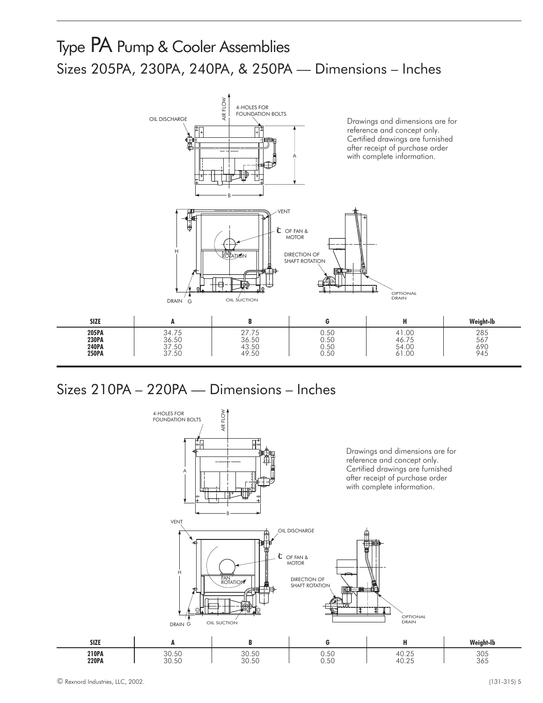### Type PA Pump & Cooler Assemblies Sizes 205PA, 230PA, 240PA, & 250PA — Dimensions – Inches



### Sizes 210PA – 220PA — Dimensions – Inches

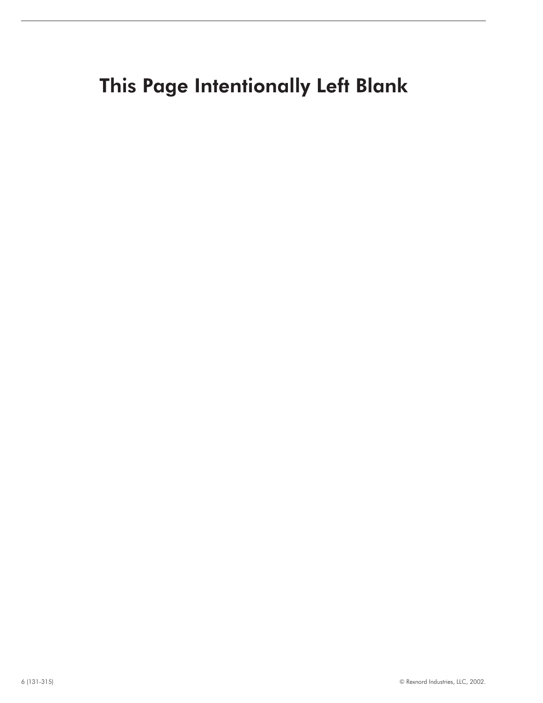# This Page Intentionally Left Blank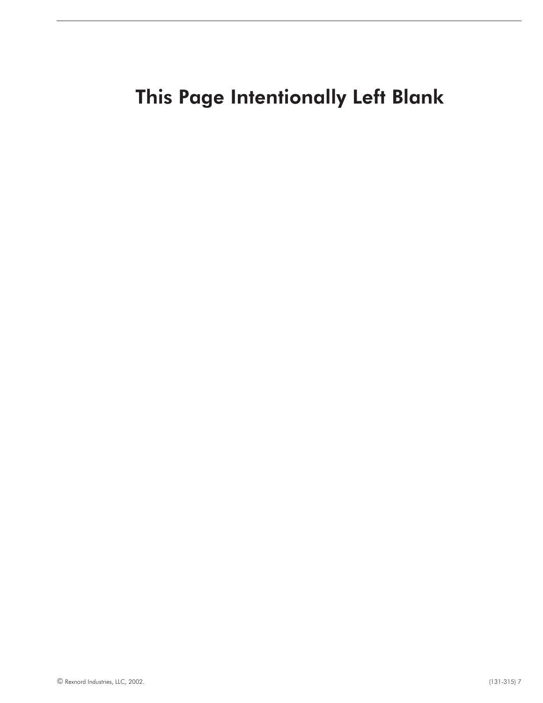# This Page Intentionally Left Blank